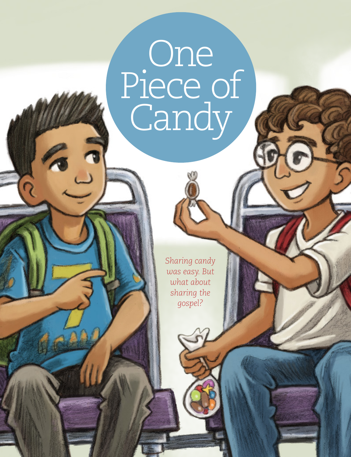## One Piece of Candy

*Sharing candy was easy. But what about sharing the gospel?*

**18 Friends** 

 $\frac{1}{2}$ 

 $\overline{\Omega}$